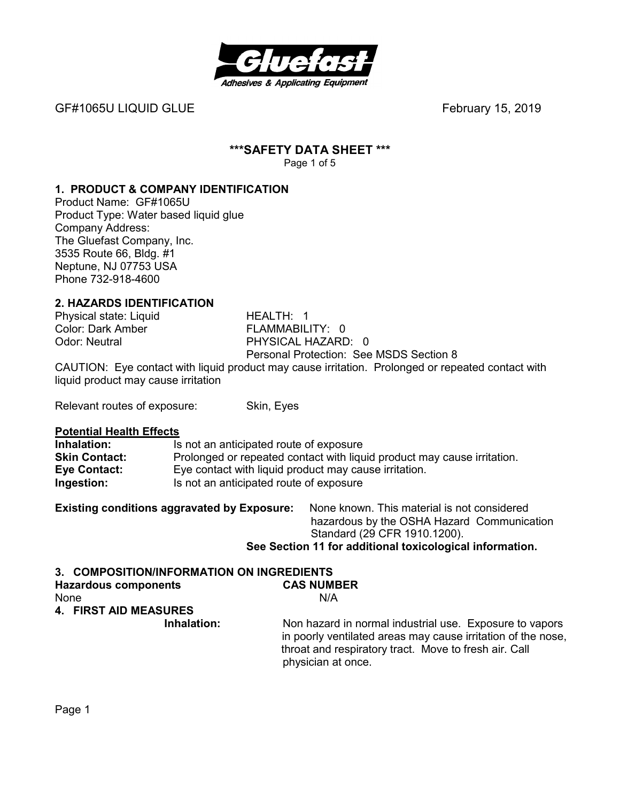

GF#1065U LIQUID GLUEFebruary 15, 2019

#### **\*\*\*SAFETY DATA SHEET \*\*\***  Page 1 of 5

#### **1. PRODUCT & COMPANY IDENTIFICATION**

Product Name: GF#1065U Product Type: Water based liquid glue Company Address: The Gluefast Company, Inc. 3535 Route 66, Bldg. #1 Neptune, NJ 07753 USA Phone 732-918-4600

#### **2. HAZARDS IDENTIFICATION**

Color: Dark Amber<br>Odor: Neutral

Physical state: Liquid **HEALTH: 1**<br>Color: Dark Amber **FLAMMABILITY:** 0 PHYSICAL HAZARD: 0 Personal Protection: See MSDS Section 8

CAUTION: Eye contact with liquid product may cause irritation. Prolonged or repeated contact with liquid product may cause irritation

Relevant routes of exposure: Skin, Eyes

#### **Potential Health Effects**

| Inhalation:          | Is not an anticipated route of exposure                                 |
|----------------------|-------------------------------------------------------------------------|
| <b>Skin Contact:</b> | Prolonged or repeated contact with liquid product may cause irritation. |
| <b>Eye Contact:</b>  | Eye contact with liquid product may cause irritation.                   |
| Ingestion:           | Is not an anticipated route of exposure                                 |

| <b>Existing conditions aggravated by Exposure:</b> | None known. This material is not considered              |
|----------------------------------------------------|----------------------------------------------------------|
|                                                    | hazardous by the OSHA Hazard Communication               |
|                                                    | Standard (29 CFR 1910.1200).                             |
|                                                    | See Section 11 for additional toxicological information. |

# **3. COMPOSITION/INFORMATION ON INGREDIENTS**

| <b>Hazardous components</b>  | <b>CAS NUMBER</b>                                                                                                                                                                                      |
|------------------------------|--------------------------------------------------------------------------------------------------------------------------------------------------------------------------------------------------------|
| None                         | N/A                                                                                                                                                                                                    |
| <b>4. FIRST AID MEASURES</b> |                                                                                                                                                                                                        |
| Inhalation:                  | Non hazard in normal industrial use. Exposure to vapors<br>in poorly ventilated areas may cause irritation of the nose,<br>throat and respiratory tract. Move to fresh air. Call<br>physician at once. |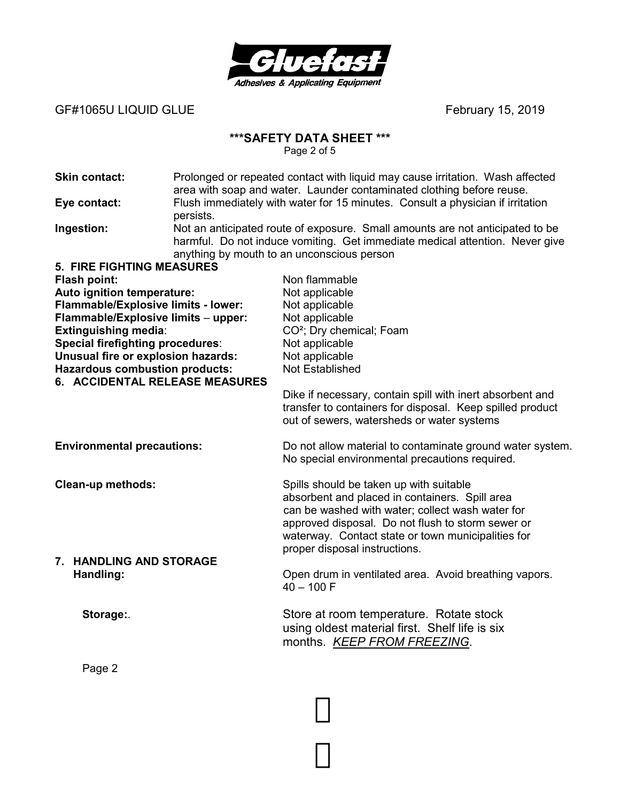

GF#1065U LIQUID GLUE
and the state of the state of the state of the state of the state of the state of the state of the state of the state of the state of the state of the state of the state of the state of the state of th

### **\*\*\*SAFETY DATA SHEET \*\*\***

Page 2 of 5

| <b>Skin contact:</b>                                                    | Prolonged or repeated contact with liquid may cause irritation. Wash affected<br>area with soap and water. Launder contaminated clothing before reuse.                                                      |                                                                                                         |  |
|-------------------------------------------------------------------------|-------------------------------------------------------------------------------------------------------------------------------------------------------------------------------------------------------------|---------------------------------------------------------------------------------------------------------|--|
| Eye contact:                                                            | Flush immediately with water for 15 minutes. Consult a physician if irritation<br>persists.                                                                                                                 |                                                                                                         |  |
| Ingestion:                                                              | Not an anticipated route of exposure. Small amounts are not anticipated to be<br>harmful. Do not induce vomiting. Get immediate medical attention. Never give<br>anything by mouth to an unconscious person |                                                                                                         |  |
| <b>5. FIRE FIGHTING MEASURES</b>                                        |                                                                                                                                                                                                             |                                                                                                         |  |
| Flash point:                                                            |                                                                                                                                                                                                             | Non flammable                                                                                           |  |
| Auto ignition temperature:                                              |                                                                                                                                                                                                             | Not applicable                                                                                          |  |
| Flammable/Explosive limits - lower:                                     |                                                                                                                                                                                                             | Not applicable                                                                                          |  |
| Flammable/Explosive limits - upper:                                     |                                                                                                                                                                                                             | Not applicable                                                                                          |  |
| Extinguishing media:                                                    |                                                                                                                                                                                                             | CO <sup>2</sup> ; Dry chemical; Foam                                                                    |  |
| <b>Special firefighting procedures:</b>                                 |                                                                                                                                                                                                             | Not applicable                                                                                          |  |
| Unusual fire or explosion hazards:                                      |                                                                                                                                                                                                             | Not applicable                                                                                          |  |
| <b>Hazardous combustion products:</b><br>6. ACCIDENTAL RELEASE MEASURES |                                                                                                                                                                                                             | Not Established                                                                                         |  |
|                                                                         |                                                                                                                                                                                                             | Dike if necessary, contain spill with inert absorbent and                                               |  |
|                                                                         |                                                                                                                                                                                                             | transfer to containers for disposal. Keep spilled product<br>out of sewers, watersheds or water systems |  |
|                                                                         |                                                                                                                                                                                                             |                                                                                                         |  |
| <b>Environmental precautions:</b>                                       |                                                                                                                                                                                                             | Do not allow material to contaminate ground water system.                                               |  |
|                                                                         |                                                                                                                                                                                                             | No special environmental precautions required.                                                          |  |
| <b>Clean-up methods:</b>                                                |                                                                                                                                                                                                             | Spills should be taken up with suitable                                                                 |  |
|                                                                         |                                                                                                                                                                                                             | absorbent and placed in containers. Spill area                                                          |  |
|                                                                         |                                                                                                                                                                                                             | can be washed with water; collect wash water for                                                        |  |
|                                                                         |                                                                                                                                                                                                             | approved disposal. Do not flush to storm sewer or                                                       |  |
|                                                                         |                                                                                                                                                                                                             | waterway. Contact state or town municipalities for                                                      |  |
|                                                                         |                                                                                                                                                                                                             | proper disposal instructions.                                                                           |  |
| 7. HANDLING AND STORAGE                                                 |                                                                                                                                                                                                             |                                                                                                         |  |
| Handling:                                                               |                                                                                                                                                                                                             | Open drum in ventilated area. Avoid breathing vapors.<br>$40 - 100$ F                                   |  |
|                                                                         |                                                                                                                                                                                                             |                                                                                                         |  |
| Storage:                                                                |                                                                                                                                                                                                             | Store at room temperature. Rotate stock                                                                 |  |
|                                                                         |                                                                                                                                                                                                             | using oldest material first. Shelf life is six                                                          |  |
|                                                                         |                                                                                                                                                                                                             | months. KEEP FROM FREEZING.                                                                             |  |
|                                                                         |                                                                                                                                                                                                             |                                                                                                         |  |
| Page 2                                                                  |                                                                                                                                                                                                             |                                                                                                         |  |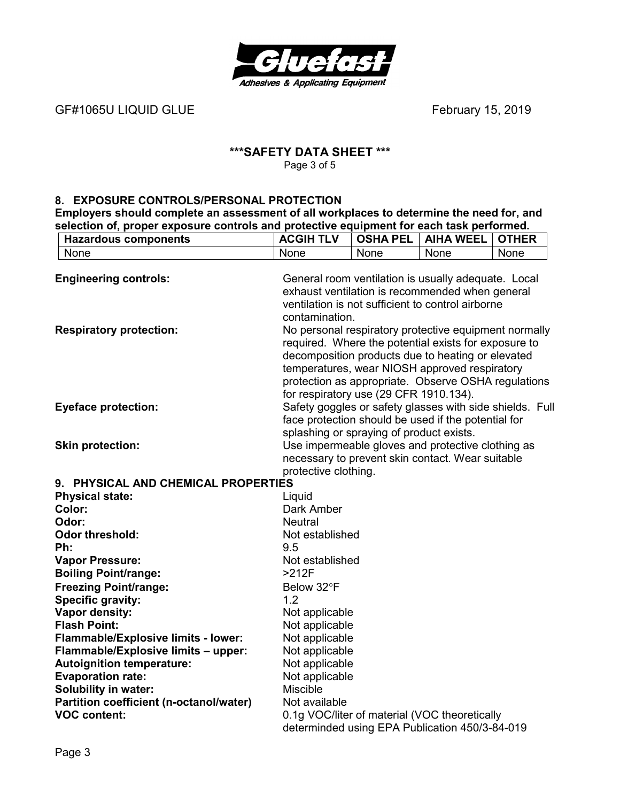

GF#1065U LIQUID GLUE
and the state of the state of the state of the state of the state of the state of the state of the state of the state of the state of the state of the state of the state of the state of the state of th

#### **\*\*\*SAFETY DATA SHEET \*\*\***  Page 3 of 5

#### **8. EXPOSURE CONTROLS/PERSONAL PROTECTION**

**Employers should complete an assessment of all workplaces to determine the need for, and selection of, proper exposure controls and protective equipment for each task performed.** 

| <b>Hazardous components</b>             | <b>ACGIH TLV</b>                                                                                                                                                                                                                                                                                                     | <b>OSHA PEL</b> | <b>AIHA WEEL</b>                                                                                                | <b>OTHER</b> |
|-----------------------------------------|----------------------------------------------------------------------------------------------------------------------------------------------------------------------------------------------------------------------------------------------------------------------------------------------------------------------|-----------------|-----------------------------------------------------------------------------------------------------------------|--------------|
| None                                    | None                                                                                                                                                                                                                                                                                                                 | None            | None                                                                                                            | None         |
| <b>Engineering controls:</b>            | General room ventilation is usually adequate. Local<br>exhaust ventilation is recommended when general<br>ventilation is not sufficient to control airborne<br>contamination.                                                                                                                                        |                 |                                                                                                                 |              |
| <b>Respiratory protection:</b>          | No personal respiratory protective equipment normally<br>required. Where the potential exists for exposure to<br>decomposition products due to heating or elevated<br>temperatures, wear NIOSH approved respiratory<br>protection as appropriate. Observe OSHA regulations<br>for respiratory use (29 CFR 1910.134). |                 |                                                                                                                 |              |
| <b>Eyeface protection:</b>              | splashing or spraying of product exists.                                                                                                                                                                                                                                                                             |                 | Safety goggles or safety glasses with side shields. Full<br>face protection should be used if the potential for |              |
| <b>Skin protection:</b>                 | protective clothing.                                                                                                                                                                                                                                                                                                 |                 | Use impermeable gloves and protective clothing as<br>necessary to prevent skin contact. Wear suitable           |              |
| 9. PHYSICAL AND CHEMICAL PROPERTIES     |                                                                                                                                                                                                                                                                                                                      |                 |                                                                                                                 |              |
| <b>Physical state:</b>                  | Liquid                                                                                                                                                                                                                                                                                                               |                 |                                                                                                                 |              |
| Color:                                  | Dark Amber                                                                                                                                                                                                                                                                                                           |                 |                                                                                                                 |              |
| Odor:                                   | <b>Neutral</b>                                                                                                                                                                                                                                                                                                       |                 |                                                                                                                 |              |
| <b>Odor threshold:</b>                  | Not established                                                                                                                                                                                                                                                                                                      |                 |                                                                                                                 |              |
| Ph:                                     | 9.5                                                                                                                                                                                                                                                                                                                  |                 |                                                                                                                 |              |
| <b>Vapor Pressure:</b>                  | Not established                                                                                                                                                                                                                                                                                                      |                 |                                                                                                                 |              |
| <b>Boiling Point/range:</b>             | $>212F$                                                                                                                                                                                                                                                                                                              |                 |                                                                                                                 |              |
| <b>Freezing Point/range:</b>            | Below 32°F                                                                                                                                                                                                                                                                                                           |                 |                                                                                                                 |              |
| <b>Specific gravity:</b>                | 1.2                                                                                                                                                                                                                                                                                                                  |                 |                                                                                                                 |              |
| Vapor density:                          | Not applicable                                                                                                                                                                                                                                                                                                       |                 |                                                                                                                 |              |
| <b>Flash Point:</b>                     | Not applicable                                                                                                                                                                                                                                                                                                       |                 |                                                                                                                 |              |
| Flammable/Explosive limits - lower:     | Not applicable                                                                                                                                                                                                                                                                                                       |                 |                                                                                                                 |              |
| Flammable/Explosive limits - upper:     | Not applicable                                                                                                                                                                                                                                                                                                       |                 |                                                                                                                 |              |
| <b>Autoignition temperature:</b>        | Not applicable                                                                                                                                                                                                                                                                                                       |                 |                                                                                                                 |              |
| <b>Evaporation rate:</b>                | Not applicable                                                                                                                                                                                                                                                                                                       |                 |                                                                                                                 |              |
| <b>Solubility in water:</b>             | Miscible                                                                                                                                                                                                                                                                                                             |                 |                                                                                                                 |              |
| Partition coefficient (n-octanol/water) | Not available                                                                                                                                                                                                                                                                                                        |                 |                                                                                                                 |              |
| <b>VOC content:</b>                     |                                                                                                                                                                                                                                                                                                                      |                 | 0.1g VOC/liter of material (VOC theoretically<br>determinded using EPA Publication 450/3-84-019                 |              |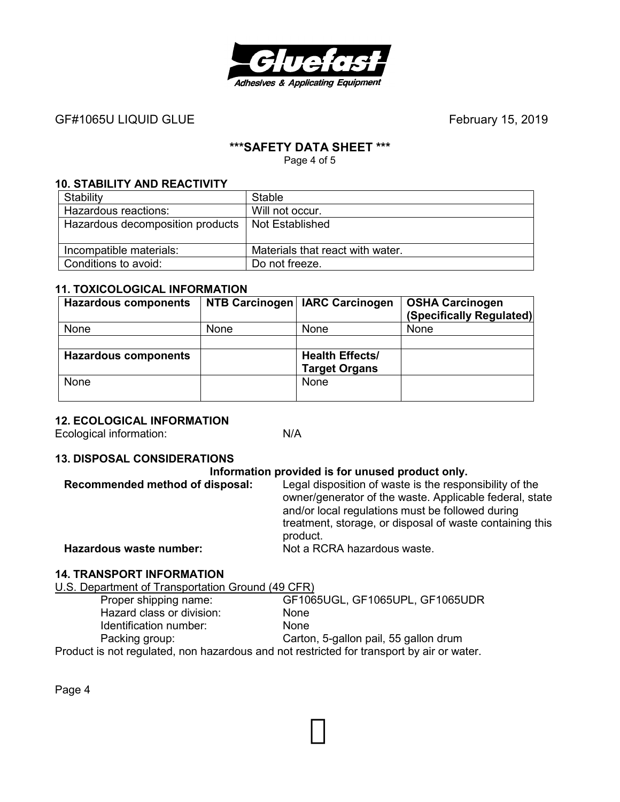

# GF#1065U LIQUID GLUE
and the state of the state of the state of the state of the state of the state of the state of the state of the state of the state of the state of the state of the state of the state of the state of th

#### **\*\*\*SAFETY DATA SHEET \*\*\***

Page 4 of 5

#### **10. STABILITY AND REACTIVITY**

| Stability                        | Stable                           |
|----------------------------------|----------------------------------|
| Hazardous reactions:             | Will not occur.                  |
| Hazardous decomposition products | Not Established                  |
| Incompatible materials:          | Materials that react with water. |
| Conditions to avoid:             | Do not freeze.                   |

#### **11. TOXICOLOGICAL INFORMATION**

| <b>Hazardous components</b> |      | NTB Carcinogen   IARC Carcinogen | <b>OSHA Carcinogen</b><br>(Specifically Regulated) |
|-----------------------------|------|----------------------------------|----------------------------------------------------|
| None                        | None | <b>None</b>                      | None                                               |
|                             |      |                                  |                                                    |
| <b>Hazardous components</b> |      | <b>Health Effects/</b>           |                                                    |
|                             |      | <b>Target Organs</b>             |                                                    |
| None                        |      | <b>None</b>                      |                                                    |
|                             |      |                                  |                                                    |

#### **12. ECOLOGICAL INFORMATION**

Ecological information: N/A

#### **13. DISPOSAL CONSIDERATIONS**

#### **Information provided is for unused product only.**

| Recommended method of disposal: | Legal disposition of waste is the responsibility of the<br>owner/generator of the waste. Applicable federal, state<br>and/or local regulations must be followed during<br>treatment, storage, or disposal of waste containing this |
|---------------------------------|------------------------------------------------------------------------------------------------------------------------------------------------------------------------------------------------------------------------------------|
| Hazardous waste number:         | product.<br>Not a RCRA hazardous waste.                                                                                                                                                                                            |
|                                 |                                                                                                                                                                                                                                    |

#### **14. TRANSPORT INFORMATION**

U.S. Department of Transportation Ground (49 CFR)

| Proper shipping name:                                                                     | GF1065UGL, GF1065UPL, GF1065UDR       |
|-------------------------------------------------------------------------------------------|---------------------------------------|
| Hazard class or division:                                                                 | <b>None</b>                           |
| Identification number:                                                                    | <b>None</b>                           |
| Packing group:                                                                            | Carton, 5-gallon pail, 55 gallon drum |
| Product is not regulated, non hazardous and not restricted for transport by air or water. |                                       |

Page 4